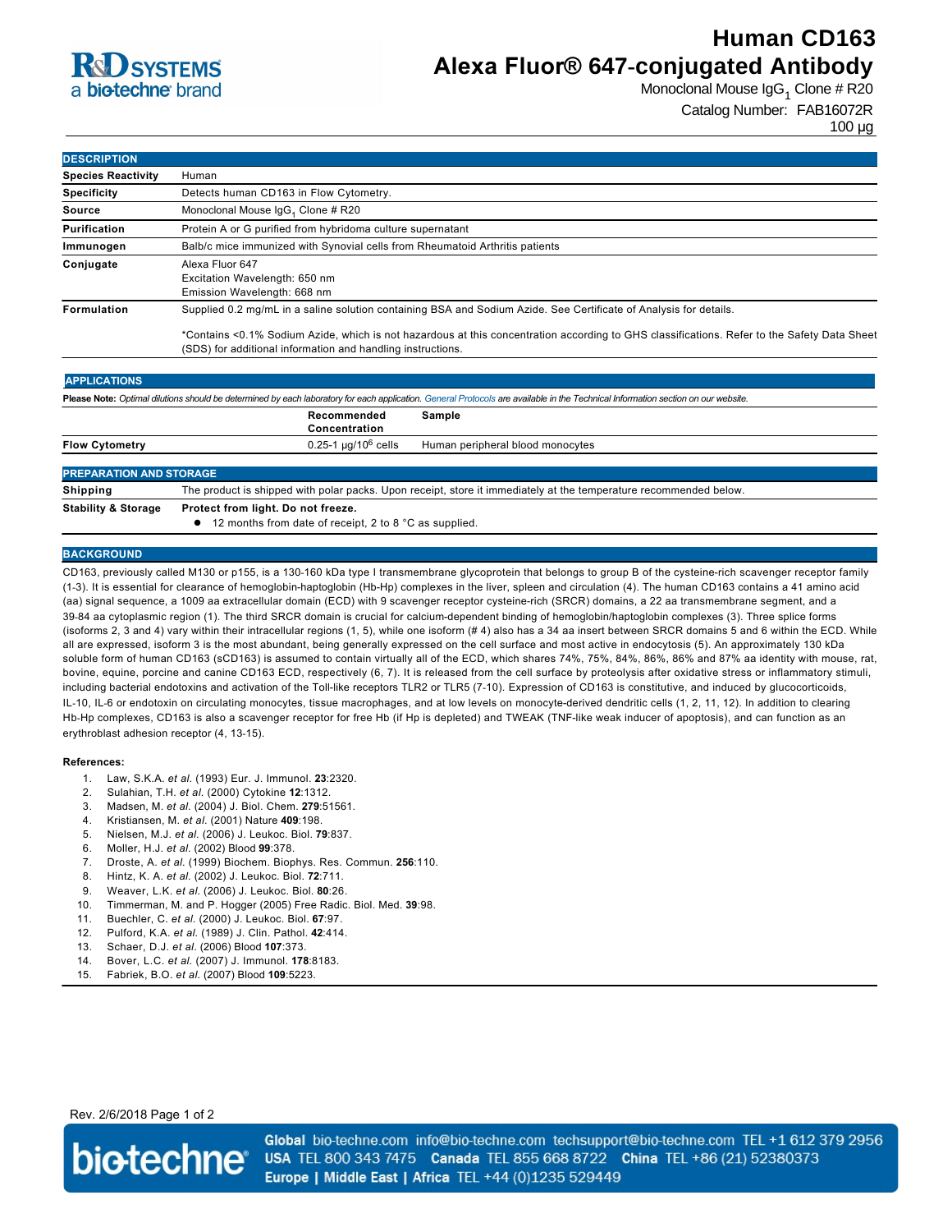## **R**d SYSTEMS a **bio-techne** brand

# **Human CD163 Alexa Fluor® 647-conjugated Antibody**

Monoclonal Mouse IgG<sub>1</sub> Clone # R20

Catalog Number: FAB16072R

100 µg

| <b>DESCRIPTION</b>        |                                                                                                                                                                                                                                                                                                                                 |  |  |
|---------------------------|---------------------------------------------------------------------------------------------------------------------------------------------------------------------------------------------------------------------------------------------------------------------------------------------------------------------------------|--|--|
| <b>Species Reactivity</b> | Human                                                                                                                                                                                                                                                                                                                           |  |  |
| <b>Specificity</b>        | Detects human CD163 in Flow Cytometry.                                                                                                                                                                                                                                                                                          |  |  |
| Source                    | Monoclonal Mouse IgG <sub>1</sub> Clone # R20                                                                                                                                                                                                                                                                                   |  |  |
| Purification              | Protein A or G purified from hybridoma culture supernatant                                                                                                                                                                                                                                                                      |  |  |
| Immunogen                 | Balb/c mice immunized with Synovial cells from Rheumatoid Arthritis patients                                                                                                                                                                                                                                                    |  |  |
| Conjugate                 | Alexa Fluor 647<br>Excitation Wavelength: 650 nm<br>Emission Wavelength: 668 nm                                                                                                                                                                                                                                                 |  |  |
| <b>Formulation</b>        | Supplied 0.2 mg/mL in a saline solution containing BSA and Sodium Azide. See Certificate of Analysis for details.<br>*Contains <0.1% Sodium Azide, which is not hazardous at this concentration according to GHS classifications. Refer to the Safety Data Sheet<br>(SDS) for additional information and handling instructions. |  |  |

| Please Note: Optimal dilutions should be determined by each laboratory for each application. General Protocols are available in the Technical Information section on our website. |                                                                                                                   |                                  |  |  |
|-----------------------------------------------------------------------------------------------------------------------------------------------------------------------------------|-------------------------------------------------------------------------------------------------------------------|----------------------------------|--|--|
|                                                                                                                                                                                   | Recommended<br>Concentration                                                                                      | Sample                           |  |  |
| <b>Flow Cytometry</b>                                                                                                                                                             | $0.25$ -1 µg/10 $^6$ cells                                                                                        | Human peripheral blood monocytes |  |  |
|                                                                                                                                                                                   |                                                                                                                   |                                  |  |  |
| <b>PREPARATION AND STORAGE</b>                                                                                                                                                    |                                                                                                                   |                                  |  |  |
| Shipping                                                                                                                                                                          | The product is shipped with polar packs. Upon receipt, store it immediately at the temperature recommended below. |                                  |  |  |
| <b>Stability &amp; Storage</b>                                                                                                                                                    | Protect from light. Do not freeze.                                                                                |                                  |  |  |

● 12 months from date of receipt, 2 to 8 °C as supplied.

### **BACKGROUND**

CD163, previously called M130 or p155, is a 130-160 kDa type I transmembrane glycoprotein that belongs to group B of the cysteine-rich scavenger receptor family (13). It is essential for clearance of hemoglobinhaptoglobin (HbHp) complexes in the liver, spleen and circulation (4). The human CD163 contains a 41 amino acid (aa) signal sequence, a 1009 aa extracellular domain (ECD) with 9 scavenger receptor cysteine-rich (SRCR) domains, a 22 aa transmembrane segment, and a 39-84 aa cytoplasmic region (1). The third SRCR domain is crucial for calcium-dependent binding of hemoglobin/haptoglobin complexes (3). Three splice forms (isoforms 2, 3 and 4) vary within their intracellular regions (1, 5), while one isoform (# 4) also has a 34 aa insert between SRCR domains 5 and 6 within the ECD. While all are expressed, isoform 3 is the most abundant, being generally expressed on the cell surface and most active in endocytosis (5). An approximately 130 kDa soluble form of human CD163 (sCD163) is assumed to contain virtually all of the ECD, which shares 74%, 75%, 84%, 86%, 86% and 87% aa identity with mouse, rat, bovine, equine, porcine and canine CD163 ECD, respectively (6, 7). It is released from the cell surface by proteolysis after oxidative stress or inflammatory stimuli, including bacterial endotoxins and activation of the Toll-like receptors TLR2 or TLR5 (7-10). Expression of CD163 is constitutive, and induced by glucocorticoids, IL-10, IL-6 or endotoxin on circulating monocytes, tissue macrophages, and at low levels on monocyte-derived dendritic cells (1, 2, 11, 12). In addition to clearing Hb-Hp complexes, CD163 is also a scavenger receptor for free Hb (if Hp is depleted) and TWEAK (TNF-like weak inducer of apoptosis), and can function as an erythroblast adhesion receptor (4, 13-15).

#### **References:**

- 1. Law, S.K.A. *et al.* (1993) Eur. J. Immunol. **23**:2320.
- 2. Sulahian, T.H. *et al.* (2000) Cytokine **12**:1312.
- 3. Madsen, M. *et al.* (2004) J. Biol. Chem. **279**:51561.
- 4. Kristiansen, M. *et al.* (2001) Nature **409**:198.
- 5. Nielsen, M.J. *et al.* (2006) J. Leukoc. Biol. **79**:837.
- 6. Moller, H.J. *et al.* (2002) Blood **99**:378.
- 7. Droste, A. *et al.* (1999) Biochem. Biophys. Res. Commun. **256**:110.
- 8. Hintz, K. A. *et al.* (2002) J. Leukoc. Biol. **72**:711.
- 9. Weaver, L.K. *et al.* (2006) J. Leukoc. Biol. **80**:26.
- 10. Timmerman, M. and P. Hogger (2005) Free Radic. Biol. Med. **39**:98.
- 11. Buechler, C. *et al.* (2000) J. Leukoc. Biol. **67**:97.
- 12. Pulford, K.A. *et al.* (1989) J. Clin. Pathol. **42**:414.
- 13. Schaer, D.J. *et al.* (2006) Blood **107**:373.
- 14. Bover, L.C. *et al.* (2007) J. Immunol. **178**:8183.
- 15. Fabriek, B.O. *et al.* (2007) Blood **109**:5223.

### Rev. 2/6/2018 Page 1 of 2



Global bio-techne.com info@bio-techne.com techsupport@bio-techne.com TEL +1 612 379 2956 USA TEL 800 343 7475 Canada TEL 855 668 8722 China TEL +86 (21) 52380373 Europe | Middle East | Africa TEL +44 (0)1235 529449